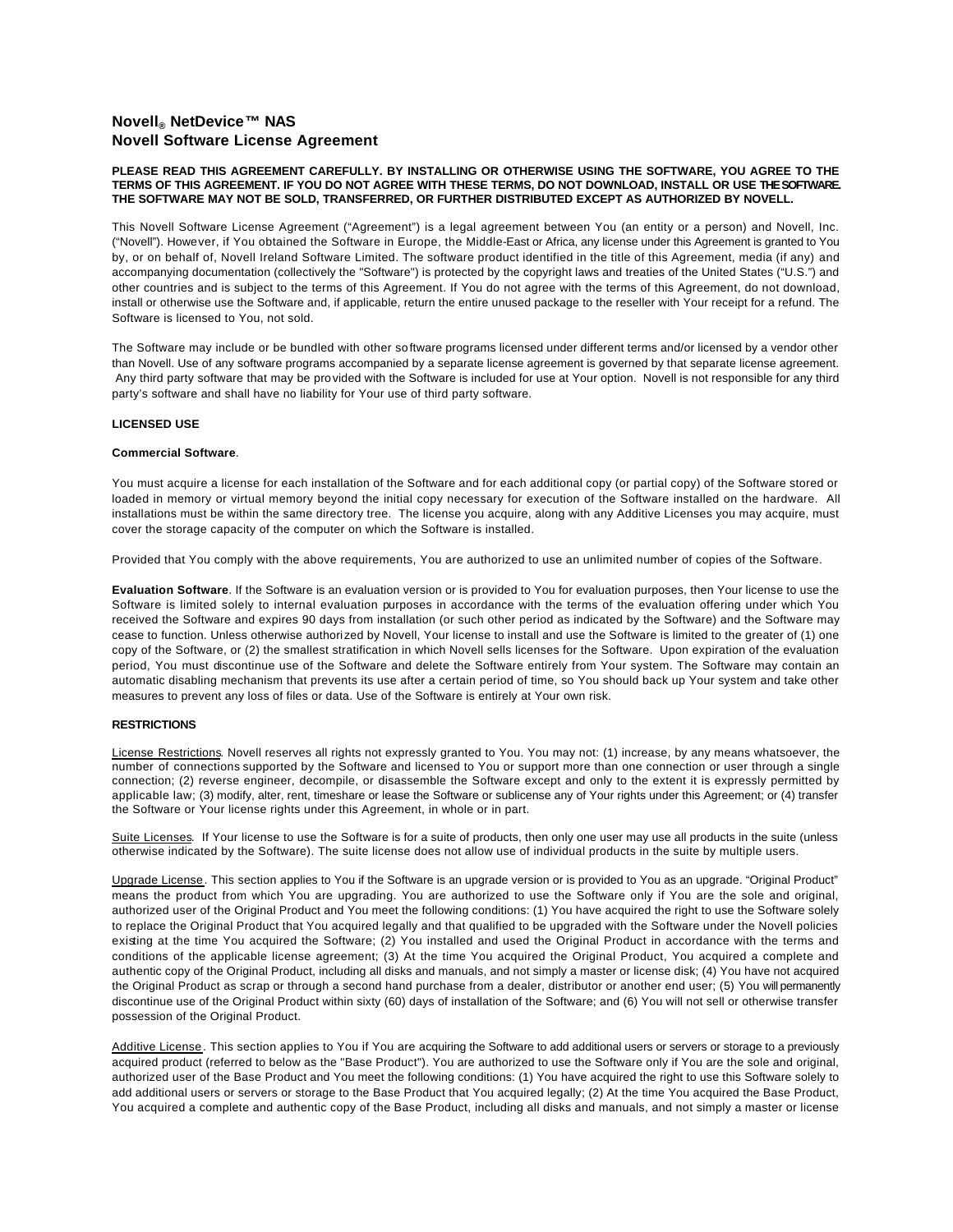# **Novell® NetDevice™ NAS Novell Software License Agreement**

## **PLEASE READ THIS AGREEMENT CAREFULLY. BY INSTALLING OR OTHERWISE USING THE SOFTWARE, YOU AGREE TO THE TERMS OF THIS AGREEMENT. IF YOU DO NOT AGREE WITH THESE TERMS, DO NOT DOWNLOAD, INSTALL OR USE THE SOFTWARE. THE SOFTWARE MAY NOT BE SOLD, TRANSFERRED, OR FURTHER DISTRIBUTED EXCEPT AS AUTHORIZED BY NOVELL.**

This Novell Software License Agreement ("Agreement") is a legal agreement between You (an entity or a person) and Novell, Inc. ("Novell"). However, if You obtained the Software in Europe, the Middle-East or Africa, any license under this Agreement is granted to You by, or on behalf of, Novell Ireland Software Limited. The software product identified in the title of this Agreement, media (if any) and accompanying documentation (collectively the "Software") is protected by the copyright laws and treaties of the United States ("U.S.") and other countries and is subject to the terms of this Agreement. If You do not agree with the terms of this Agreement, do not download, install or otherwise use the Software and, if applicable, return the entire unused package to the reseller with Your receipt for a refund. The Software is licensed to You, not sold.

The Software may include or be bundled with other software programs licensed under different terms and/or licensed by a vendor other than Novell. Use of any software programs accompanied by a separate license agreement is governed by that separate license agreement. Any third party software that may be provided with the Software is included for use at Your option. Novell is not responsible for any third party's software and shall have no liability for Your use of third party software.

## **LICENSED USE**

# **Commercial Software**.

You must acquire a license for each installation of the Software and for each additional copy (or partial copy) of the Software stored or loaded in memory or virtual memory beyond the initial copy necessary for execution of the Software installed on the hardware. All installations must be within the same directory tree. The license you acquire, along with any Additive Licenses you may acquire, must cover the storage capacity of the computer on which the Software is installed.

Provided that You comply with the above requirements, You are authorized to use an unlimited number of copies of the Software.

**Evaluation Software**. If the Software is an evaluation version or is provided to You for evaluation purposes, then Your license to use the Software is limited solely to internal evaluation purposes in accordance with the terms of the evaluation offering under which You received the Software and expires 90 days from installation (or such other period as indicated by the Software) and the Software may cease to function. Unless otherwise authorized by Novell, Your license to install and use the Software is limited to the greater of (1) one copy of the Software, or (2) the smallest stratification in which Novell sells licenses for the Software. Upon expiration of the evaluation period, You must discontinue use of the Software and delete the Software entirely from Your system. The Software may contain an automatic disabling mechanism that prevents its use after a certain period of time, so You should back up Your system and take other measures to prevent any loss of files or data. Use of the Software is entirely at Your own risk.

# **RESTRICTIONS**

License Restrictions. Novell reserves all rights not expressly granted to You. You may not: (1) increase, by any means whatsoever, the number of connections supported by the Software and licensed to You or support more than one connection or user through a single connection; (2) reverse engineer, decompile, or disassemble the Software except and only to the extent it is expressly permitted by applicable law; (3) modify, alter, rent, timeshare or lease the Software or sublicense any of Your rights under this Agreement; or (4) transfer the Software or Your license rights under this Agreement, in whole or in part.

Suite Licenses. If Your license to use the Software is for a suite of products, then only one user may use all products in the suite (unless otherwise indicated by the Software). The suite license does not allow use of individual products in the suite by multiple users.

Upgrade License. This section applies to You if the Software is an upgrade version or is provided to You as an upgrade. "Original Product" means the product from which You are upgrading. You are authorized to use the Software only if You are the sole and original, authorized user of the Original Product and You meet the following conditions: (1) You have acquired the right to use the Software solely to replace the Original Product that You acquired legally and that qualified to be upgraded with the Software under the Novell policies existing at the time You acquired the Software; (2) You installed and used the Original Product in accordance with the terms and conditions of the applicable license agreement; (3) At the time You acquired the Original Product, You acquired a complete and authentic copy of the Original Product, including all disks and manuals, and not simply a master or license disk; (4) You have not acquired the Original Product as scrap or through a second hand purchase from a dealer, distributor or another end user; (5) You will permanently discontinue use of the Original Product within sixty (60) days of installation of the Software; and (6) You will not sell or otherwise transfer possession of the Original Product.

Additive License. This section applies to You if You are acquiring the Software to add additional users or servers or storage to a previously acquired product (referred to below as the "Base Product"). You are authorized to use the Software only if You are the sole and original, authorized user of the Base Product and You meet the following conditions: (1) You have acquired the right to use this Software solely to add additional users or servers or storage to the Base Product that You acquired legally; (2) At the time You acquired the Base Product, You acquired a complete and authentic copy of the Base Product, including all disks and manuals, and not simply a master or license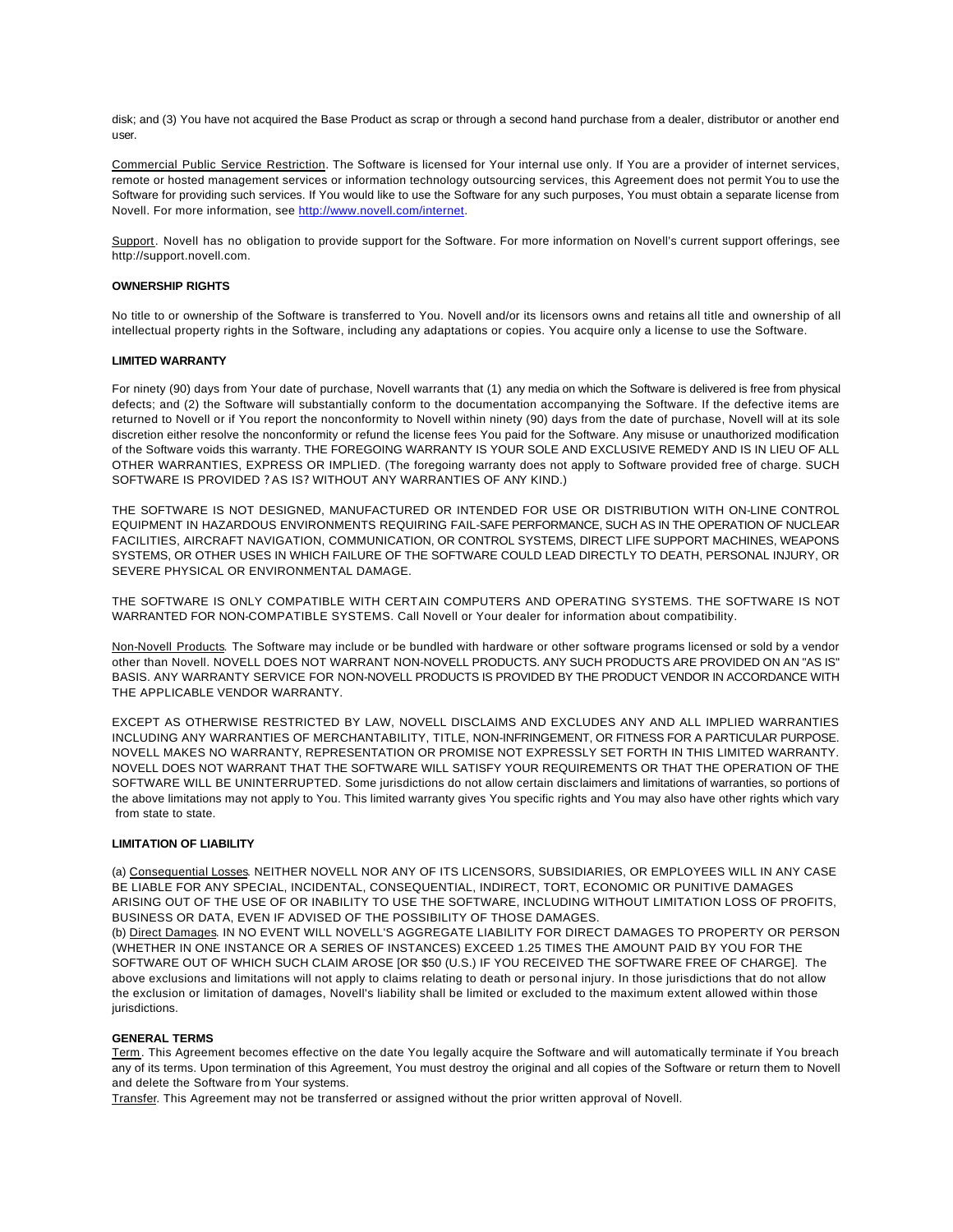disk; and (3) You have not acquired the Base Product as scrap or through a second hand purchase from a dealer, distributor or another end user.

Commercial Public Service Restriction. The Software is licensed for Your internal use only. If You are a provider of internet services, remote or hosted management services or information technology outsourcing services, this Agreement does not permit You to use the Software for providing such services. If You would like to use the Software for any such purposes, You must obtain a separate license from Novell. For more information, see http://www.novell.com/internet.

Support. Novell has no obligation to provide support for the Software. For more information on Novell's current support offerings, see http://support.novell.com.

#### **OWNERSHIP RIGHTS**

No title to or ownership of the Software is transferred to You. Novell and/or its licensors owns and retains all title and ownership of all intellectual property rights in the Software, including any adaptations or copies. You acquire only a license to use the Software.

#### **LIMITED WARRANTY**

For ninety (90) days from Your date of purchase, Novell warrants that (1) any media on which the Software is delivered is free from physical defects; and (2) the Software will substantially conform to the documentation accompanying the Software. If the defective items are returned to Novell or if You report the nonconformity to Novell within ninety (90) days from the date of purchase, Novell will at its sole discretion either resolve the nonconformity or refund the license fees You paid for the Software. Any misuse or unauthorized modification of the Software voids this warranty. THE FOREGOING WARRANTY IS YOUR SOLE AND EXCLUSIVE REMEDY AND IS IN LIEU OF ALL OTHER WARRANTIES, EXPRESS OR IMPLIED. (The foregoing warranty does not apply to Software provided free of charge. SUCH SOFTWARE IS PROVIDED ? AS IS? WITHOUT ANY WARRANTIES OF ANY KIND.)

THE SOFTWARE IS NOT DESIGNED, MANUFACTURED OR INTENDED FOR USE OR DISTRIBUTION WITH ON-LINE CONTROL EQUIPMENT IN HAZARDOUS ENVIRONMENTS REQUIRING FAIL-SAFE PERFORMANCE, SUCH AS IN THE OPERATION OF NUCLEAR FACILITIES, AIRCRAFT NAVIGATION, COMMUNICATION, OR CONTROL SYSTEMS, DIRECT LIFE SUPPORT MACHINES, WEAPONS SYSTEMS, OR OTHER USES IN WHICH FAILURE OF THE SOFTWARE COULD LEAD DIRECTLY TO DEATH, PERSONAL INJURY, OR SEVERE PHYSICAL OR ENVIRONMENTAL DAMAGE.

THE SOFTWARE IS ONLY COMPATIBLE WITH CERTAIN COMPUTERS AND OPERATING SYSTEMS. THE SOFTWARE IS NOT WARRANTED FOR NON-COMPATIBLE SYSTEMS. Call Novell or Your dealer for information about compatibility.

Non-Novell Products. The Software may include or be bundled with hardware or other software programs licensed or sold by a vendor other than Novell. NOVELL DOES NOT WARRANT NON-NOVELL PRODUCTS. ANY SUCH PRODUCTS ARE PROVIDED ON AN "AS IS" BASIS. ANY WARRANTY SERVICE FOR NON-NOVELL PRODUCTS IS PROVIDED BY THE PRODUCT VENDOR IN ACCORDANCE WITH THE APPLICABLE VENDOR WARRANTY.

EXCEPT AS OTHERWISE RESTRICTED BY LAW, NOVELL DISCLAIMS AND EXCLUDES ANY AND ALL IMPLIED WARRANTIES INCLUDING ANY WARRANTIES OF MERCHANTABILITY, TITLE, NON-INFRINGEMENT, OR FITNESS FOR A PARTICULAR PURPOSE. NOVELL MAKES NO WARRANTY, REPRESENTATION OR PROMISE NOT EXPRESSLY SET FORTH IN THIS LIMITED WARRANTY. NOVELL DOES NOT WARRANT THAT THE SOFTWARE WILL SATISFY YOUR REQUIREMENTS OR THAT THE OPERATION OF THE SOFTWARE WILL BE UNINTERRUPTED. Some jurisdictions do not allow certain disclaimers and limitations of warranties, so portions of the above limitations may not apply to You. This limited warranty gives You specific rights and You may also have other rights which vary from state to state.

#### **LIMITATION OF LIABILITY**

(a) Consequential Losses. NEITHER NOVELL NOR ANY OF ITS LICENSORS, SUBSIDIARIES, OR EMPLOYEES WILL IN ANY CASE BE LIABLE FOR ANY SPECIAL, INCIDENTAL, CONSEQUENTIAL, INDIRECT, TORT, ECONOMIC OR PUNITIVE DAMAGES ARISING OUT OF THE USE OF OR INABILITY TO USE THE SOFTWARE, INCLUDING WITHOUT LIMITATION LOSS OF PROFITS, BUSINESS OR DATA, EVEN IF ADVISED OF THE POSSIBILITY OF THOSE DAMAGES.

(b) Direct Damages. IN NO EVENT WILL NOVELL'S AGGREGATE LIABILITY FOR DIRECT DAMAGES TO PROPERTY OR PERSON (WHETHER IN ONE INSTANCE OR A SERIES OF INSTANCES) EXCEED 1.25 TIMES THE AMOUNT PAID BY YOU FOR THE SOFTWARE OUT OF WHICH SUCH CLAIM AROSE [OR \$50 (U.S.) IF YOU RECEIVED THE SOFTWARE FREE OF CHARGE]. The above exclusions and limitations will not apply to claims relating to death or personal injury. In those jurisdictions that do not allow the exclusion or limitation of damages, Novell's liability shall be limited or excluded to the maximum extent allowed within those jurisdictions.

#### **GENERAL TERMS**

Term. This Agreement becomes effective on the date You legally acquire the Software and will automatically terminate if You breach any of its terms. Upon termination of this Agreement, You must destroy the original and all copies of the Software or return them to Novell and delete the Software from Your systems.

Transfer. This Agreement may not be transferred or assigned without the prior written approval of Novell.